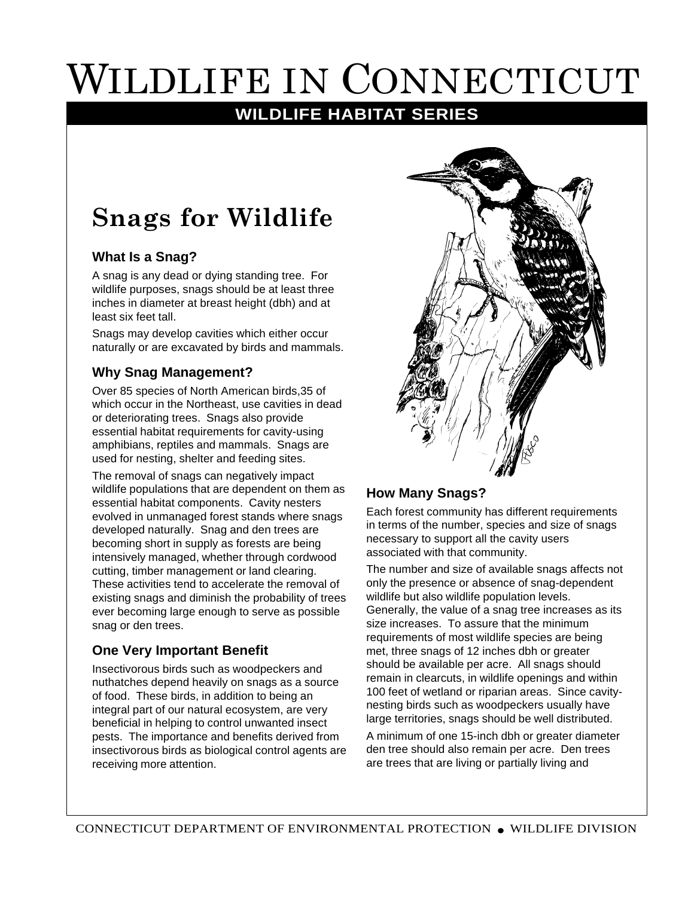# WILDLIFE IN CONNECTICUT

### **WILDLIFE HABITAT SERIES**

## **Snags for Wildlife**

#### **What Is a Snag?**

A snag is any dead or dying standing tree. For wildlife purposes, snags should be at least three inches in diameter at breast height (dbh) and at least six feet tall.

Snags may develop cavities which either occur naturally or are excavated by birds and mammals.

#### **Why Snag Management?**

Over 85 species of North American birds,35 of which occur in the Northeast, use cavities in dead or deteriorating trees. Snags also provide essential habitat requirements for cavity-using amphibians, reptiles and mammals. Snags are used for nesting, shelter and feeding sites.

The removal of snags can negatively impact wildlife populations that are dependent on them as essential habitat components. Cavity nesters evolved in unmanaged forest stands where snags developed naturally. Snag and den trees are becoming short in supply as forests are being intensively managed, whether through cordwood cutting, timber management or land clearing. These activities tend to accelerate the removal of existing snags and diminish the probability of trees ever becoming large enough to serve as possible snag or den trees.

#### **One Very Important Benefit**

Insectivorous birds such as woodpeckers and nuthatches depend heavily on snags as a source of food. These birds, in addition to being an integral part of our natural ecosystem, are very beneficial in helping to control unwanted insect pests. The importance and benefits derived from insectivorous birds as biological control agents are receiving more attention.



#### **How Many Snags?**

Each forest community has different requirements in terms of the number, species and size of snags necessary to support all the cavity users associated with that community.

The number and size of available snags affects not only the presence or absence of snag-dependent wildlife but also wildlife population levels. Generally, the value of a snag tree increases as its size increases. To assure that the minimum requirements of most wildlife species are being met, three snags of 12 inches dbh or greater should be available per acre. All snags should remain in clearcuts, in wildlife openings and within 100 feet of wetland or riparian areas. Since cavitynesting birds such as woodpeckers usually have large territories, snags should be well distributed.

A minimum of one 15-inch dbh or greater diameter den tree should also remain per acre. Den trees are trees that are living or partially living and